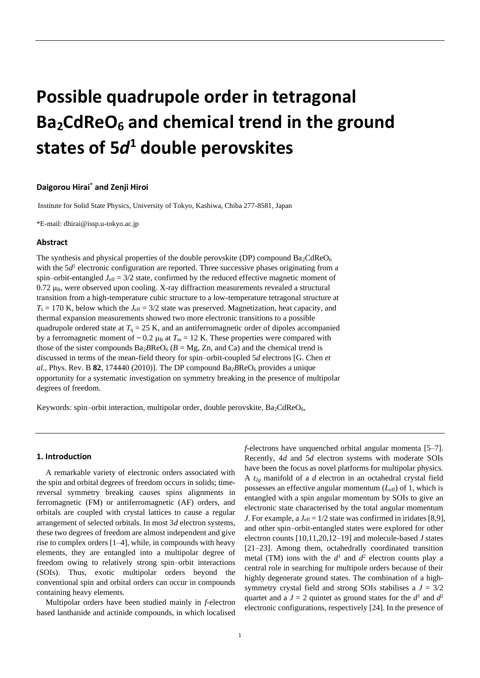# **Possible quadrupole order in tetragonal Ba2CdReO<sup>6</sup> and chemical trend in the ground states of 5***d* **<sup>1</sup> double perovskites**

### **Daigorou Hirai\* and Zenji Hiroi**

Institute for Solid State Physics, University of Tokyo, Kashiwa, Chiba 277-8581, Japan

\*E-mail: dhirai@issp.u-tokyo.ac.jp

# **Abstract**

The synthesis and physical properties of the double perovskite (DP) compound  $Ba<sub>2</sub>CdReO<sub>6</sub>$ with the 5d<sup>1</sup> electronic configuration are reported. Three successive phases originating from a spin–orbit-entangled  $J_{\text{eff}} = 3/2$  state, confirmed by the reduced effective magnetic moment of  $0.72 \mu$ B, were observed upon cooling. X-ray diffraction measurements revealed a structural transition from a high-temperature cubic structure to a low-temperature tetragonal structure at  $T_s = 170$  K, below which the  $J_{\text{eff}} = 3/2$  state was preserved. Magnetization, heat capacity, and thermal expansion measurements showed two more electronic transitions to a possible quadrupole ordered state at  $T_q = 25$  K, and an antiferromagnetic order of dipoles accompanied by a ferromagnetic moment of  $\sim 0.2 \mu_B$  at  $T_m = 12 \text{ K}$ . These properties were compared with those of the sister compounds  $Ba<sub>2</sub>BReO<sub>6</sub>$  ( $B = Mg$ ,  $Zn$ , and Ca) and the chemical trend is discussed in terms of the mean-field theory for spin–orbit-coupled 5*d* electrons [G. Chen *et al.*, Phys. Rev. B **82**, 174440 (2010)]. The DP compound  $Ba_2BReO_6$  provides a unique opportunity for a systematic investigation on symmetry breaking in the presence of multipolar degrees of freedom.

Keywords: spin–orbit interaction, multipolar order, double perovskite,  $Ba_2CdReO_6$ ,

## **1. Introduction**

A remarkable variety of electronic orders associated with the spin and orbital degrees of freedom occurs in solids; timereversal symmetry breaking causes spins alignments in ferromagnetic (FM) or antiferromagnetic (AF) orders, and orbitals are coupled with crystal lattices to cause a regular arrangement of selected orbitals. In most 3*d* electron systems, these two degrees of freedom are almost independent and give rise to complex orders [1–4], while, in compounds with heavy elements, they are entangled into a multipolar degree of freedom owing to relatively strong spin–orbit interactions (SOIs). Thus, exotic multipolar orders beyond the conventional spin and orbital orders can occur in compounds containing heavy elements.

Multipolar orders have been studied mainly in *f*-electron based lanthanide and actinide compounds, in which localised *f*-electrons have unquenched orbital angular momenta [5–7]. Recently, 4*d* and 5*d* electron systems with moderate SOIs have been the focus as novel platforms for multipolar physics. A *t*2*<sup>g</sup>* manifold of a *d* electron in an octahedral crystal field possesses an effective angular momentum (*L*eff) of 1, which is entangled with a spin angular momentum by SOIs to give an electronic state characterised by the total angular momentum *J*. For example, a  $J_{\text{eff}} = 1/2$  state was confirmed in iridates [8,9], and other spin–orbit-entangled states were explored for other electron counts [10,11,20,12–19] and molecule-based *J* states [21–23]. Among them, octahedrally coordinated transition metal (TM) ions with the  $d^1$  and  $d^2$  electron counts play a central role in searching for multipole orders because of their highly degenerate ground states. The combination of a highsymmetry crystal field and strong SOIs stabilises a  $J = 3/2$ quartet and a  $J = 2$  quintet as ground states for the  $d^1$  and  $d^2$ electronic configurations, respectively [24]. In the presence of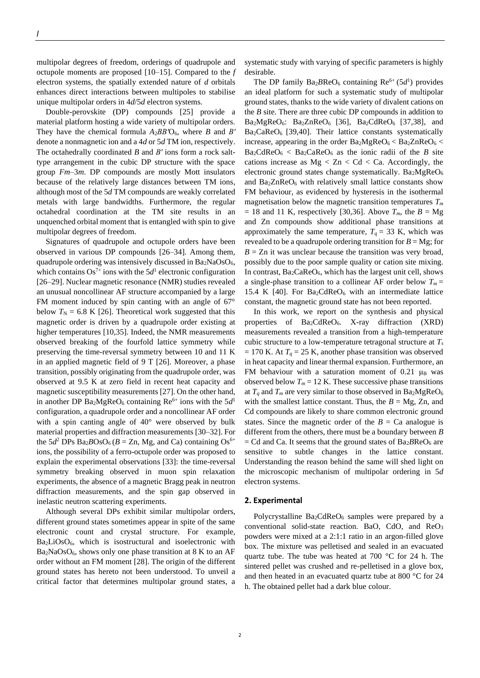multipolar degrees of freedom, orderings of quadrupole and octupole moments are proposed [10–15]. Compared to the *f* electron systems, the spatially extended nature of *d* orbitals enhances direct interactions between multipoles to stabilise unique multipolar orders in 4*d*/5*d* electron systems.

Double-perovskite (DP) compounds [25] provide a material platform hosting a wide variety of multipolar orders. They have the chemical formula *A*2*BBʹ*O6, where *B* and *Bʹ* denote a nonmagnetic ion and a 4*d* or 5*d* TM ion, respectively. The octahedrally coordinated *B* and *Bʹ* ions form a rock salttype arrangement in the cubic DP structure with the space group *Fm*–3*m*. DP compounds are mostly Mott insulators because of the relatively large distances between TM ions, although most of the 5*d* TM compounds are weakly correlated metals with large bandwidths. Furthermore, the regular octahedral coordination at the TM site results in an unquenched orbital moment that is entangled with spin to give multipolar degrees of freedom.

Signatures of quadrupole and octupole orders have been observed in various DP compounds [26–34]. Among them, quadrupole ordering was intensively discussed in  $Ba<sub>2</sub>NaOsO<sub>6</sub>$ , which contains  $Os^{7+}$  ions with the  $5d^1$  electronic configuration [26–29]. Nuclear magnetic resonance (NMR) studies revealed an unusual noncollinear AF structure accompanied by a large FM moment induced by spin canting with an angle of 67° below  $T_N = 6.8$  K [26]. Theoretical work suggested that this magnetic order is driven by a quadrupole order existing at higher temperatures [10,35]. Indeed, the NMR measurements observed breaking of the fourfold lattice symmetry while preserving the time-reversal symmetry between 10 and 11 K in an applied magnetic field of 9 T [26]. Moreover, a phase transition, possibly originating from the quadrupole order, was observed at 9.5 K at zero field in recent heat capacity and magnetic susceptibility measurements [27]. On the other hand, in another DP Ba<sub>2</sub>MgReO<sub>6</sub> containing Re<sup>6+</sup> ions with the  $5d<sup>1</sup>$ configuration, a quadrupole order and a noncollinear AF order with a spin canting angle of 40° were observed by bulk material properties and diffraction measurements [30–32]. For the  $5d^2$  DPs  $Ba_2BOsO_6$  ( $B = Zn$ , Mg, and Ca) containing  $Os^{6+}$ ions, the possibility of a ferro-octupole order was proposed to explain the experimental observations [33]: the time-reversal symmetry breaking observed in muon spin relaxation experiments, the absence of a magnetic Bragg peak in neutron diffraction measurements, and the spin gap observed in inelastic neutron scattering experiments.

Although several DPs exhibit similar multipolar orders, different ground states sometimes appear in spite of the same electronic count and crystal structure. For example, Ba2LiOsO6, which is isostructural and isoelectronic with  $Ba<sub>2</sub>NaOsO<sub>6</sub>$ , shows only one phase transition at 8 K to an AF order without an FM moment [28]. The origin of the different ground states has hereto not been understood. To unveil a critical factor that determines multipolar ground states, a systematic study with varying of specific parameters is highly desirable.

The DP family  $Ba<sub>2</sub>BReO<sub>6</sub>$  containing  $Re<sup>6+</sup> (5d<sup>1</sup>)$  provides an ideal platform for such a systematic study of multipolar ground states, thanks to the wide variety of divalent cations on the *B* site. There are three cubic DP compounds in addition to  $Ba<sub>2</sub>MgReO<sub>6</sub>$ :  $Ba<sub>2</sub>ZnReO<sub>6</sub>$  [36],  $Ba<sub>2</sub>CdReO<sub>6</sub>$  [37,38], and  $Ba<sub>2</sub>CaReO<sub>6</sub>$  [39,40]. Their lattice constants systematically increase, appearing in the order  $Ba<sub>2</sub>MgReO<sub>6</sub> < Ba<sub>2</sub>ZnReO<sub>6</sub>$  $Ba_2CdReO_6 < Ba_2CaReO_6$  as the ionic radii of the *B* site cations increase as  $Mg < Zn < Cd < Ca$ . Accordingly, the electronic ground states change systematically.  $Ba<sub>2</sub>MgReO<sub>6</sub>$ and  $Ba<sub>2</sub>ZnReO<sub>6</sub>$  with relatively small lattice constants show FM behaviour, as evidenced by hysteresis in the isothermal magnetisation below the magnetic transition temperatures *T<sup>m</sup>*  $= 18$  and 11 K, respectively [30,36]. Above  $T_m$ , the  $B = Mg$ and Zn compounds show additional phase transitions at approximately the same temperature,  $T<sub>q</sub> = 33$  K, which was revealed to be a quadrupole ordering transition for  $B = Mg$ ; for  $B = Zn$  it was unclear because the transition was very broad, possibly due to the poor sample quality or cation site mixing. In contrast,  $Ba<sub>2</sub>CaReO<sub>6</sub>$ , which has the largest unit cell, shows a single-phase transition to a collinear AF order below  $T_m =$ 15.4 K [40]. For  $Ba_2CdReO_6$  with an intermediate lattice constant, the magnetic ground state has not been reported.

In this work, we report on the synthesis and physical properties of  $Ba_2CdReO_6$ . X-ray diffraction (XRD) measurements revealed a transition from a high-temperature cubic structure to a low-temperature tetragonal structure at *T<sup>s</sup>*  $= 170$  K. At  $T<sub>q</sub> = 25$  K, another phase transition was observed in heat capacity and linear thermal expansion. Furthermore, an FM behaviour with a saturation moment of 0.21  $\mu$ B was observed below  $T_m = 12$  K. These successive phase transitions at  $T_q$  and  $T_m$  are very similar to those observed in Ba<sub>2</sub>MgReO<sub>6</sub> with the smallest lattice constant. Thus, the  $B = Mg$ , Zn, and Cd compounds are likely to share common electronic ground states. Since the magnetic order of the  $B = Ca$  analogue is different from the others, there must be a boundary between *B*  $=$  Cd and Ca. It seems that the ground states of  $Ba<sub>2</sub>BReO<sub>6</sub>$  are sensitive to subtle changes in the lattice constant. Understanding the reason behind the same will shed light on the microscopic mechanism of multipolar ordering in 5*d* electron systems.

#### **2. Experimental**

Polycrystalline Ba<sub>2</sub>CdReO<sub>6</sub> samples were prepared by a conventional solid-state reaction. BaO, CdO, and  $ReO<sub>3</sub>$ powders were mixed at a 2:1:1 ratio in an argon-filled glove box. The mixture was pelletised and sealed in an evacuated quartz tube. The tube was heated at 700 °C for 24 h. The sintered pellet was crushed and re-pelletised in a glove box, and then heated in an evacuated quartz tube at 800 °C for 24 h. The obtained pellet had a dark blue colour.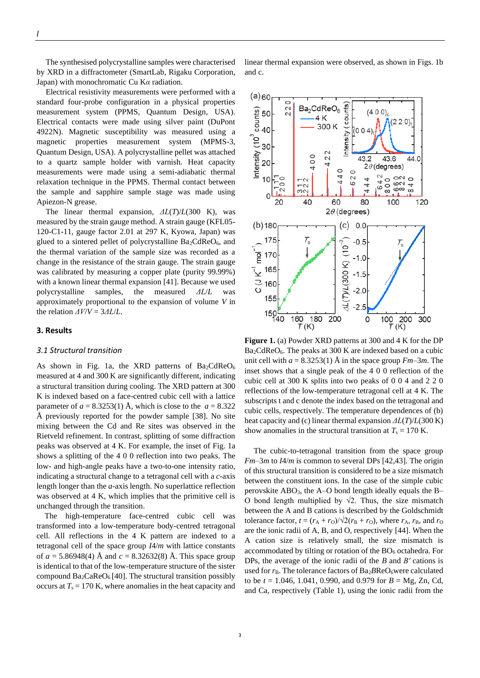The synthesised polycrystalline samples were characterised by XRD in a diffractometer (SmartLab, Rigaku Corporation, Japan) with monochromatic Cu K*α* radiation.

Electrical resistivity measurements were performed with a standard four-probe configuration in a physical properties measurement system (PPMS, Quantum Design, USA). Electrical contacts were made using silver paint (DuPont 4922N). Magnetic susceptibility was measured using a magnetic properties measurement system (MPMS-3, Quantum Design, USA). A polycrystalline pellet was attached to a quartz sample holder with varnish. Heat capacity measurements were made using a semi-adiabatic thermal relaxation technique in the PPMS. Thermal contact between the sample and sapphire sample stage was made using Apiezon-N grease.

The linear thermal expansion, *ΔL*(*T*)/*L*(300 K), was measured by the strain gauge method. A strain gauge (KFL05- 120-C1-11, gauge factor 2.01 at 297 K, Kyowa, Japan) was glued to a sintered pellet of polycrystalline  $Ba<sub>2</sub>CdReO<sub>6</sub>$ , and the thermal variation of the sample size was recorded as a change in the resistance of the strain gauge. The strain gauge was calibrated by measuring a copper plate (purity 99.99%) with a known linear thermal expansion [41]. Because we used polycrystalline samples, the measured *ΔL*/*L* was approximately proportional to the expansion of volume *V* in the relation *ΔV*/*V* = 3*ΔL*/*L*.

# **3. Results**

## *3.1 Structural transition*

As shown in Fig. 1a, the XRD patterns of  $Ba<sub>2</sub>CdReO<sub>6</sub>$ measured at 4 and 300 K are significantly different, indicating a structural transition during cooling. The XRD pattern at 300 K is indexed based on a face-centred cubic cell with a lattice parameter of  $a = 8.3253(1)$  Å, which is close to the  $a = 8.322$ Å previously reported for the powder sample [38]. No site mixing between the Cd and Re sites was observed in the Rietveld refinement. In contrast, splitting of some diffraction peaks was observed at 4 K. For example, the inset of Fig. 1a shows a splitting of the 4 0 0 reflection into two peaks. The low- and high-angle peaks have a two-to-one intensity ratio, indicating a structural change to a tetragonal cell with a *c*-axis length longer than the *a*-axis length. No superlattice reflection was observed at 4 K, which implies that the primitive cell is unchanged through the transition.

The high-temperature face-centred cubic cell was transformed into a low-temperature body-centred tetragonal cell. All reflections in the 4 K pattern are indexed to a tetragonal cell of the space group *I*4/*m* with lattice constants of  $a = 5.86948(4)$  Å and  $c = 8.32632(8)$  Å. This space group is identical to that of the low-temperature structure of the sister compound  $Ba_2CaReO_6$  [40]. The structural transition possibly occurs at  $T_s = 170$  K, where anomalies in the heat capacity and linear thermal expansion were observed, as shown in Figs. 1b and c.



**Figure 1.** (a) Powder XRD patterns at 300 and 4 K for the DP  $Ba<sub>2</sub>CdReO<sub>6</sub>$ . The peaks at 300 K are indexed based on a cubic unit cell with  $a = 8.3253(1)$  Å in the space group  $Fm-3m$ . The inset shows that a single peak of the 4 0 0 reflection of the cubic cell at 300 K splits into two peaks of 0 0 4 and 2 2 0 reflections of the low-temperature tetragonal cell at 4 K. The subscripts t and c denote the index based on the tetragonal and cubic cells, respectively. The temperature dependences of (b) heat capacity and (c) linear thermal expansion *ΔL*(*T*)/*L*(300 K) show anomalies in the structural transition at  $T_s = 170$  K.

The cubic-to-tetragonal transition from the space group *Fm*–3*m* to *I*4/*m* is common to several DPs [42,43]. The origin of this structural transition is considered to be a size mismatch between the constituent ions. In the case of the simple cubic perovskite  $ABO<sub>3</sub>$ , the A–O bond length ideally equals the B– O bond length multiplied by  $\sqrt{2}$ . Thus, the size mismatch between the A and B cations is described by the Goldschmidt tolerance factor,  $t = (r_A + r_O)/\sqrt{2(r_B + r_O)}$ , where  $r_A$ ,  $r_B$ , and  $r_O$ are the ionic radii of A, B, and O, respectively [44]. When the A cation size is relatively small, the size mismatch is accommodated by tilting or rotation of the  $BO<sub>6</sub>$  octahedra. For DPs, the average of the ionic radii of the *B* and *Bʹ* cations is used for  $r_B$ . The tolerance factors of  $Ba_2BReO_6$ were calculated to be *t* = 1.046, 1.041, 0.990, and 0.979 for *B* = Mg, Zn, Cd, and Ca, respectively (Table 1), using the ionic radii from the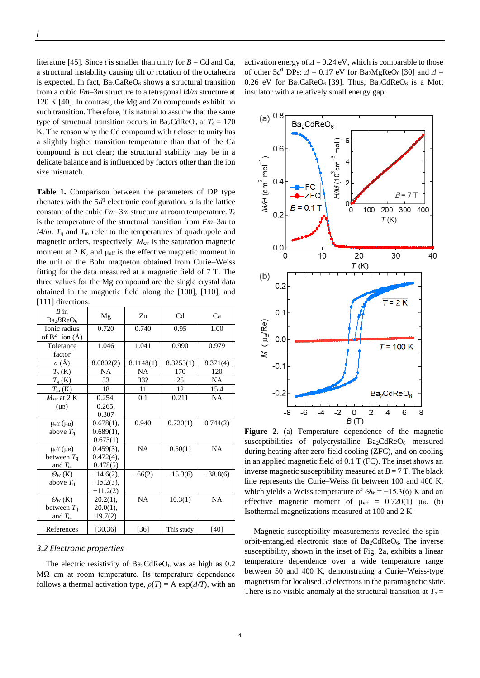literature [45]. Since *t* is smaller than unity for  $B = Cd$  and Ca, a structural instability causing tilt or rotation of the octahedra is expected. In fact,  $Ba_2CaReO_6$  shows a structural transition from a cubic *Fm*–3*m* structure to a tetragonal *I*4/*m* structure at 120 K [40]. In contrast, the Mg and Zn compounds exhibit no such transition. Therefore, it is natural to assume that the same type of structural transition occurs in Ba<sub>2</sub>CdReO<sub>6</sub> at  $T_s = 170$ K. The reason why the Cd compound with *t* closer to unity has a slightly higher transition temperature than that of the Ca compound is not clear; the structural stability may be in a delicate balance and is influenced by factors other than the ion size mismatch.

**Table 1.** Comparison between the parameters of DP type rhenates with the  $5d<sup>1</sup>$  electronic configuration. *a* is the lattice constant of the cubic  $Fm-3m$  structure at room temperature.  $T_s$ is the temperature of the structural transition from *Fm*–3*m* to *I*4/*m*.  $T_q$  and  $T_m$  refer to the temperatures of quadrupole and magnetic orders, respectively.  $M<sub>sat</sub>$  is the saturation magnetic moment at 2 K, and  $\mu_{\text{eff}}$  is the effective magnetic moment in the unit of the Bohr magneton obtained from Curie–Weiss fitting for the data measured at a magnetic field of 7 T. The three values for the Mg compound are the single crystal data obtained in the magnetic field along the [100], [110], and [111] directions.

| $B$ in<br>Ba <sub>2</sub> BReO <sub>6</sub> | Mg           | Zn        | C <sub>d</sub> | Ca         |
|---------------------------------------------|--------------|-----------|----------------|------------|
| Ionic radius<br>of $B^{2+}$ ion $(A)$       | 0.720        | 0.740     | 0.95           | 1.00       |
| Tolerance<br>factor                         | 1.046        | 1.041     | 0.990          | 0.979      |
| a(A)                                        | 8.0802(2)    | 8.1148(1) | 8.3253(1)      | 8.371(4)   |
| $T_{\rm s}$ (K)                             | NA           | NA        | 170            | 120        |
| $T_q$ (K)                                   | 33           | 33?       | 25             | NA         |
| $T_{m}$ (K)                                 | 18           | 11        | 12             | 15.4       |
| $M_{\text{sat}}$ at 2 K                     | 0.254,       | 0.1       | 0.211          | NA         |
| $(\mu_B)$                                   | 0.265,       |           |                |            |
|                                             | 0.307        |           |                |            |
| $\mu_{\rm eff}$ ( $\mu_{\rm B}$ )           | 0.678(1),    | 0.940     | 0.720(1)       | 0.744(2)   |
| above $T_q$                                 | $0.689(1)$ , |           |                |            |
|                                             | 0.673(1)     |           |                |            |
| $\mu_{\rm eff}(\mu_{\rm B})$                | $0.459(3)$ , | <b>NA</b> | 0.50(1)        | <b>NA</b>  |
| between $T_q$                               | $0.472(4)$ , |           |                |            |
| and $T_{\rm m}$                             | 0.478(5)     |           |                |            |
| $\Theta_W$ (K)                              | $-14.6(2)$ , | $-66(2)$  | $-15.3(6)$     | $-38.8(6)$ |
| above $T_q$                                 | $-15.2(3)$ , |           |                |            |
|                                             | $-11.2(2)$   |           |                |            |
| $\Theta_W(K)$                               | $20.2(1)$ ,  | <b>NA</b> | 10.3(1)        | <b>NA</b>  |
| between $T_q$                               | $20.0(1)$ ,  |           |                |            |
| and $T_{\rm m}$                             | 19.7(2)      |           |                |            |
| References                                  | [30, 36]     | $[36]$    | This study     | [40]       |

## *3.2 Electronic properties*

The electric resistivity of  $Ba_2CdReO_6$  was as high as 0.2  $MΩ$  cm at room temperature. Its temperature dependence follows a thermal activation type,  $\rho(T) = A \exp(\frac{\Delta}{T})$ , with an

activation energy of  $\Delta$  = 0.24 eV, which is comparable to those of other  $5d^1$  DPs:  $\Delta = 0.17$  eV for Ba<sub>2</sub>MgReO<sub>6</sub> [30] and  $\Delta =$ 0.26 eV for  $Ba_2CaReO_6$  [39]. Thus,  $Ba_2CdReO_6$  is a Mott insulator with a relatively small energy gap.



**Figure 2.** (a) Temperature dependence of the magnetic susceptibilities of polycrystalline  $Ba_2CdReO_6$  measured during heating after zero-field cooling (ZFC), and on cooling in an applied magnetic field of 0.1 T (FC). The inset shows an inverse magnetic susceptibility measured at  $B = 7$  T. The black line represents the Curie–Weiss fit between 100 and 400 K, which yields a Weiss temperature of  $\Theta_W = -15.3(6)$  K and an effective magnetic moment of  $\mu_{eff} = 0.720(1) \mu_B$ . (b) Isothermal magnetizations measured at 100 and 2 K.

Magnetic susceptibility measurements revealed the spin– orbit-entangled electronic state of  $Ba<sub>2</sub>CdReO<sub>6</sub>$ . The inverse susceptibility, shown in the inset of Fig. 2a, exhibits a linear temperature dependence over a wide temperature range between 50 and 400 K, demonstrating a Curie–Weiss-type magnetism for localised 5*d* electrons in the paramagnetic state. There is no visible anomaly at the structural transition at  $T_s =$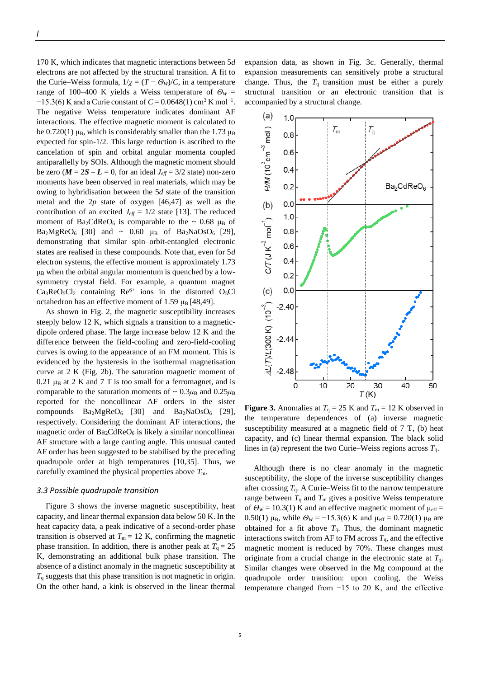170 K, which indicates that magnetic interactions between 5*d* electrons are not affected by the structural transition. A fit to the Curie–Weiss formula,  $1/\chi = (T - \Theta_W)/C$ , in a temperature range of 100–400 K yields a Weiss temperature of  $\Theta_W$  =  $-15.3(6)$  K and a Curie constant of  $C = 0.0648(1)$  cm<sup>3</sup> K mol<sup>-1</sup>. The negative Weiss temperature indicates dominant AF interactions. The effective magnetic moment is calculated to be 0.720(1)  $\mu_B$ , which is considerably smaller than the 1.73  $\mu_B$ expected for spin-1/2. This large reduction is ascribed to the cancelation of spin and orbital angular momenta coupled antiparallelly by SOIs. Although the magnetic moment should be zero ( $M = 2S - L = 0$ , for an ideal  $J_{\text{eff}} = 3/2$  state) non-zero moments have been observed in real materials, which may be owing to hybridisation between the 5*d* state of the transition metal and the 2*p* state of oxygen [46,47] as well as the contribution of an excited  $J_{\text{eff}} = 1/2$  state [13]. The reduced moment of Ba<sub>2</sub>CdReO<sub>6</sub> is comparable to the  $\sim 0.68 \mu_B$  of  $Ba<sub>2</sub>MgReO<sub>6</sub>$  [30] and ~ 0.60  $\mu_B$  of Ba<sub>2</sub>NaOsO<sub>6</sub> [29], demonstrating that similar spin–orbit-entangled electronic states are realised in these compounds. Note that, even for 5*d* electron systems, the effective moment is approximately 1.73  $\mu_B$  when the orbital angular momentum is quenched by a lowsymmetry crystal field. For example, a quantum magnet  $Ca<sub>3</sub>ReO<sub>5</sub>Cl<sub>2</sub>$  containing  $Re<sup>6+</sup>$  ions in the distorted O<sub>5</sub>Cl octahedron has an effective moment of 1.59  $\mu$ <sub>B</sub> [48,49].

As shown in Fig. 2, the magnetic susceptibility increases steeply below 12 K, which signals a transition to a magneticdipole ordered phase. The large increase below 12 K and the difference between the field-cooling and zero-field-cooling curves is owing to the appearance of an FM moment. This is evidenced by the hysteresis in the isothermal magnetisation curve at 2 K (Fig. 2b). The saturation magnetic moment of  $0.21 \mu_B$  at 2 K and 7 T is too small for a ferromagnet, and is comparable to the saturation moments of  $\sim 0.3 \mu_{\text{B}}$  and  $0.25 \mu_{\text{B}}$ reported for the noncollinear AF orders in the sister compounds  $Ba<sub>2</sub>MgReO<sub>6</sub>$  [30] and  $Ba<sub>2</sub>NaOsO<sub>6</sub>$  [29], respectively. Considering the dominant AF interactions, the magnetic order of  $Ba<sub>2</sub>CdReO<sub>6</sub>$  is likely a similar noncollinear AF structure with a large canting angle. This unusual canted AF order has been suggested to be stabilised by the preceding quadrupole order at high temperatures [10,35]. Thus, we carefully examined the physical properties above *T*m.

# *3.3 Possible quadrupole transition*

Figure 3 shows the inverse magnetic susceptibility, heat capacity, and linear thermal expansion data below 50 K. In the heat capacity data, a peak indicative of a second-order phase transition is observed at  $T_m = 12$  K, confirming the magnetic phase transition. In addition, there is another peak at  $T<sub>q</sub> = 25$ K, demonstrating an additional bulk phase transition. The absence of a distinct anomaly in the magnetic susceptibility at  $T_q$  suggests that this phase transition is not magnetic in origin. On the other hand, a kink is observed in the linear thermal

expansion data, as shown in Fig. 3c. Generally, thermal expansion measurements can sensitively probe a structural change. Thus, the  $T_q$  transition must be either a purely structural transition or an electronic transition that is accompanied by a structural change.



**Figure 3.** Anomalies at  $T_q = 25$  K and  $T_m = 12$  K observed in the temperature dependences of (a) inverse magnetic susceptibility measured at a magnetic field of 7 T, (b) heat capacity, and (c) linear thermal expansion. The black solid lines in (a) represent the two Curie–Weiss regions across *T*q.

Although there is no clear anomaly in the magnetic susceptibility, the slope of the inverse susceptibility changes after crossing  $T<sub>q</sub>$ . A Curie–Weiss fit to the narrow temperature range between  $T_q$  and  $T_m$  gives a positive Weiss temperature of  $\Theta_W$  = 10.3(1) K and an effective magnetic moment of  $\mu_{\text{eff}}$  = 0.50(1) μ<sub>B</sub>, while  $\Theta_W = -15.3(6)$  K and μ<sub>eff</sub> = 0.720(1) μ<sub>B</sub> are obtained for a fit above  $T<sub>q</sub>$ . Thus, the dominant magnetic interactions switch from AF to FM across  $T<sub>q</sub>$ , and the effective magnetic moment is reduced by 70%. These changes must originate from a crucial change in the electronic state at  $T<sub>q</sub>$ . Similar changes were observed in the Mg compound at the quadrupole order transition: upon cooling, the Weiss temperature changed from  $-15$  to 20 K, and the effective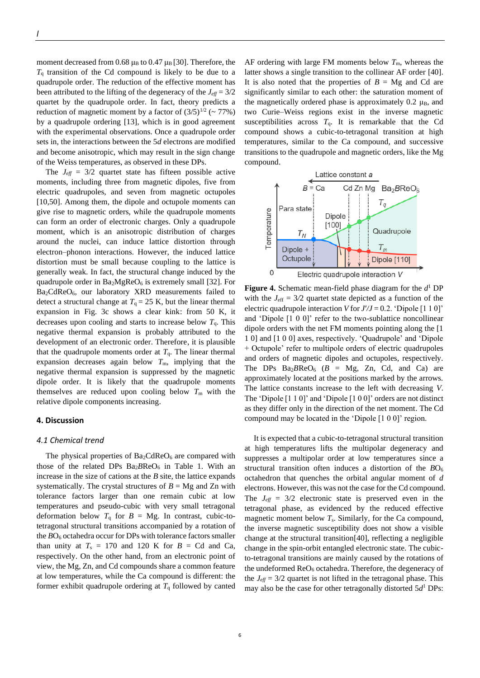moment decreased from 0.68  $\mu_B$  to 0.47  $\mu_B$  [30]. Therefore, the  $T_q$  transition of the Cd compound is likely to be due to a quadrupole order. The reduction of the effective moment has been attributed to the lifting of the degeneracy of the  $J_{\text{eff}} = 3/2$ quartet by the quadrupole order. In fact, theory predicts a reduction of magnetic moment by a factor of  $(3/5)^{1/2}$  (~ 77%) by a quadrupole ordering [13], which is in good agreement with the experimental observations. Once a quadrupole order sets in, the interactions between the 5*d* electrons are modified and become anisotropic, which may result in the sign change of the Weiss temperatures, as observed in these DPs.

The  $J_{\text{eff}} = 3/2$  quartet state has fifteen possible active moments, including three from magnetic dipoles, five from electric quadrupoles, and seven from magnetic octupoles [10,50]. Among them, the dipole and octupole moments can give rise to magnetic orders, while the quadrupole moments can form an order of electronic charges. Only a quadrupole moment, which is an anisotropic distribution of charges around the nuclei, can induce lattice distortion through electron–phonon interactions. However, the induced lattice distortion must be small because coupling to the lattice is generally weak. In fact, the structural change induced by the quadrupole order in  $Ba<sub>2</sub>MgReO<sub>6</sub>$  is extremely small [32]. For Ba2CdReO6, our laboratory XRD measurements failed to detect a structural change at  $T<sub>q</sub> = 25$  K, but the linear thermal expansion in Fig. 3c shows a clear kink: from 50 K, it decreases upon cooling and starts to increase below  $T<sub>q</sub>$ . This negative thermal expansion is probably attributed to the development of an electronic order. Therefore, it is plausible that the quadrupole moments order at  $T<sub>q</sub>$ . The linear thermal expansion decreases again below  $T<sub>m</sub>$ , implying that the negative thermal expansion is suppressed by the magnetic dipole order. It is likely that the quadrupole moments themselves are reduced upon cooling below  $T<sub>m</sub>$  with the relative dipole components increasing.

## **4. Discussion**

### *4.1 Chemical trend*

The physical properties of  $Ba_2CdReO_6$  are compared with those of the related DPs Ba<sub>2</sub>BReO<sub>6</sub> in Table 1. With an increase in the size of cations at the *B* site, the lattice expands systematically. The crystal structures of  $B = Mg$  and Zn with tolerance factors larger than one remain cubic at low temperatures and pseudo-cubic with very small tetragonal deformation below  $T_q$  for  $B = Mg$ . In contrast, cubic-totetragonal structural transitions accompanied by a rotation of the  $BO<sub>6</sub>$  octahedra occur for DPs with tolerance factors smaller than unity at  $T_s = 170$  and 120 K for  $B = Cd$  and Ca, respectively. On the other hand, from an electronic point of view, the Mg, Zn, and Cd compounds share a common feature at low temperatures, while the Ca compound is different: the former exhibit quadrupole ordering at  $T<sub>q</sub>$  followed by canted AF ordering with large FM moments below  $T<sub>m</sub>$ , whereas the latter shows a single transition to the collinear AF order [40]. It is also noted that the properties of  $B = Mg$  and Cd are significantly similar to each other: the saturation moment of the magnetically ordered phase is approximately  $0.2 \mu_B$ , and two Curie–Weiss regions exist in the inverse magnetic susceptibilities across  $T<sub>q</sub>$ . It is remarkable that the Cd compound shows a cubic-to-tetragonal transition at high temperatures, similar to the Ca compound, and successive transitions to the quadrupole and magnetic orders, like the Mg compound.



**Figure 4.** Schematic mean-field phase diagram for the *d* <sup>1</sup> DP with the  $J_{\text{eff}} = 3/2$  quartet state depicted as a function of the electric quadrupole interaction *V* for  $J/J = 0.2$ . 'Dipole [1 1 0]' and 'Dipole [1 0 0]' refer to the two-sublattice noncollinear dipole orders with the net FM moments pointing along the [1 1 0] and [1 0 0] axes, respectively. 'Quadrupole' and 'Dipole + Octupole' refer to multipole orders of electric quadrupoles and orders of magnetic dipoles and octupoles, respectively. The DPs  $Ba<sub>2</sub>BReO<sub>6</sub>$  ( $B = Mg$ , Zn, Cd, and Ca) are approximately located at the positions marked by the arrows. The lattice constants increase to the left with decreasing *V*. The 'Dipole [1 1 0]' and 'Dipole [1 0 0]' orders are not distinct as they differ only in the direction of the net moment. The Cd compound may be located in the 'Dipole [1 0 0]' region.

It is expected that a cubic-to-tetragonal structural transition at high temperatures lifts the multipolar degeneracy and suppresses a multipolar order at low temperatures since a structural transition often induces a distortion of the  $BO_6$ octahedron that quenches the orbital angular moment of *d* electrons. However, this was not the case for the Cd compound. The  $J_{\text{eff}} = 3/2$  electronic state is preserved even in the tetragonal phase, as evidenced by the reduced effective magnetic moment below *T*s. Similarly, for the Ca compound, the inverse magnetic susceptibility does not show a visible change at the structural transition[40], reflecting a negligible change in the spin-orbit entangled electronic state. The cubicto-tetragonal transitions are mainly caused by the rotations of the undeformed  $\text{ReO}_6$  octahedra. Therefore, the degeneracy of the  $J_{\text{eff}} = 3/2$  quartet is not lifted in the tetragonal phase. This may also be the case for other tetragonally distorted 5*d* <sup>1</sup> DPs: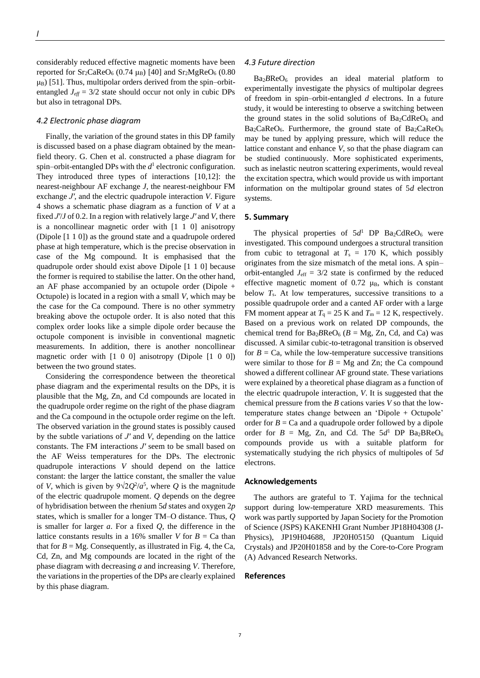considerably reduced effective magnetic moments have been reported for  $Sr_2CaReO_6$  (0.74  $\mu_B$ ) [40] and  $Sr_2MgReO_6$  (0.80  $\mu$ <sub>B</sub>) [51]. Thus, multipolar orders derived from the spin–orbitentangled  $J_{\text{eff}} = 3/2$  state should occur not only in cubic DPs but also in tetragonal DPs.

### *4.2 Electronic phase diagram*

Finally, the variation of the ground states in this DP family is discussed based on a phase diagram obtained by the meanfield theory. G. Chen et al. constructed a phase diagram for spin–orbit-entangled DPs with the  $d<sup>1</sup>$  electronic configuration. They introduced three types of interactions [10,12]: the nearest-neighbour AF exchange *J*, the nearest-neighbour FM exchange *Jʹ*, and the electric quadrupole interaction *V*. Figure 4 shows a schematic phase diagram as a function of *V* at a fixed *Jʹ*/*J* of 0.2. In a region with relatively large *Jʹ* and *V*, there is a noncollinear magnetic order with [1 1 0] anisotropy (Dipole [1 1 0]) as the ground state and a quadrupole ordered phase at high temperature, which is the precise observation in case of the Mg compound. It is emphasised that the quadrupole order should exist above Dipole [1 1 0] because the former is required to stabilise the latter. On the other hand, an AF phase accompanied by an octupole order (Dipole + Octupole) is located in a region with a small *V*, which may be the case for the Ca compound. There is no other symmetry breaking above the octupole order. It is also noted that this complex order looks like a simple dipole order because the octupole component is invisible in conventional magnetic measurements. In addition, there is another noncollinear magnetic order with [1 0 0] anisotropy (Dipole [1 0 0]) between the two ground states.

Considering the correspondence between the theoretical phase diagram and the experimental results on the DPs, it is plausible that the Mg, Zn, and Cd compounds are located in the quadrupole order regime on the right of the phase diagram and the Ca compound in the octupole order regime on the left. The observed variation in the ground states is possibly caused by the subtle variations of *Jʹ* and *V,* depending on the lattice constants. The FM interactions *Jʹ* seem to be small based on the AF Weiss temperatures for the DPs. The electronic quadrupole interactions *V* should depend on the lattice constant: the larger the lattice constant, the smaller the value of *V*, which is given by  $9\sqrt{2}Q^2/a^5$ , where *Q* is the magnitude of the electric quadrupole moment. *Q* depends on the degree of hybridisation between the rhenium 5*d* states and oxygen 2*p* states, which is smaller for a longer TM–O distance. Thus, *Q* is smaller for larger *a*. For a fixed *Q*, the difference in the lattice constants results in a 16% smaller *V* for  $B = Ca$  than that for  $B = Mg$ . Consequently, as illustrated in Fig. 4, the Ca, Cd, Zn, and Mg compounds are located in the right of the phase diagram with decreasing *a* and increasing *V*. Therefore, the variations in the properties of the DPs are clearly explained by this phase diagram.

#### *4.3 Future direction*

Ba<sub>2</sub>BReO<sub>6</sub> provides an ideal material platform to experimentally investigate the physics of multipolar degrees of freedom in spin–orbit-entangled *d* electrons. In a future study, it would be interesting to observe a switching between the ground states in the solid solutions of  $Ba<sub>2</sub>CdReO<sub>6</sub>$  and  $Ba<sub>2</sub>CaReO<sub>6</sub>$ . Furthermore, the ground state of  $Ba<sub>2</sub>CaReO<sub>6</sub>$ may be tuned by applying pressure, which will reduce the lattice constant and enhance *V*, so that the phase diagram can be studied continuously. More sophisticated experiments, such as inelastic neutron scattering experiments, would reveal the excitation spectra, which would provide us with important information on the multipolar ground states of 5*d* electron systems.

## **5. Summary**

The physical properties of  $5d<sup>1</sup>$  DP Ba<sub>2</sub>CdReO<sub>6</sub> were investigated. This compound undergoes a structural transition from cubic to tetragonal at  $T_s = 170$  K, which possibly originates from the size mismatch of the metal ions. A spin– orbit-entangled  $J_{\text{eff}} = 3/2$  state is confirmed by the reduced effective magnetic moment of  $0.72 \mu_B$ , which is constant below *T<sub>s</sub>*. At low temperatures, successive transitions to a possible quadrupole order and a canted AF order with a large FM moment appear at  $T_q = 25$  K and  $T_m = 12$  K, respectively. Based on a previous work on related DP compounds, the chemical trend for  $Ba<sub>2</sub>BReO<sub>6</sub>$  ( $B = Mg$ , Zn, Cd, and Ca) was discussed. A similar cubic-to-tetragonal transition is observed for  $B = Ca$ , while the low-temperature successive transitions were similar to those for  $B = Mg$  and Zn; the Ca compound showed a different collinear AF ground state. These variations were explained by a theoretical phase diagram as a function of the electric quadrupole interaction, *V*. It is suggested that the chemical pressure from the *B* cations varies *V* so that the lowtemperature states change between an 'Dipole + Octupole' order for  $B = Ca$  and a quadrupole order followed by a dipole order for  $B = Mg$ , Zn, and Cd. The  $5d<sup>1</sup>$  DP Ba<sub>2</sub>BReO<sub>6</sub> compounds provide us with a suitable platform for systematically studying the rich physics of multipoles of 5*d* electrons.

## **Acknowledgements**

The authors are grateful to T. Yajima for the technical support during low-temperature XRD measurements. This work was partly supported by Japan Society for the Promotion of Science (JSPS) KAKENHI Grant Number JP18H04308 (J-Physics), JP19H04688, JP20H05150 (Quantum Liquid Crystals) and JP20H01858 and by the Core-to-Core Program (A) Advanced Research Networks.

## **References**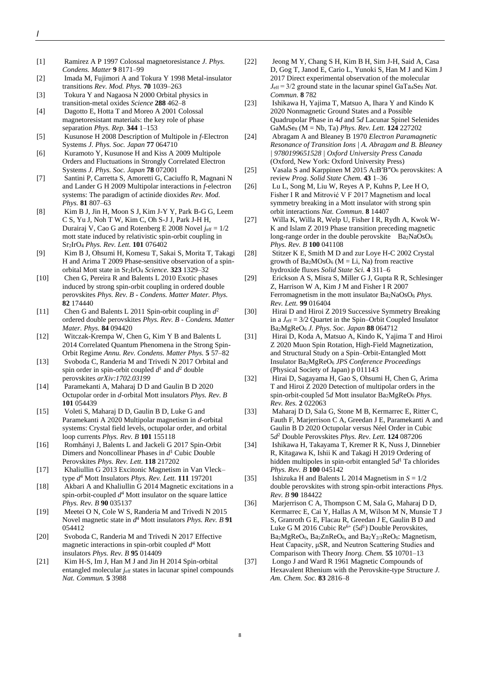- [1] Ramirez A P 1997 Colossal magnetoresistance *J. Phys. Condens. Matter* **9** 8171–99
- [2] Imada M, Fujimori A and Tokura Y 1998 Metal-insulator transitions *Rev. Mod. Phys.* **70** 1039–263
- [3] Tokura Y and Nagaosa N 2000 Orbital physics in transition-metal oxides *Science* **288** 462–8
- [4] Dagotto E, Hotta T and Moreo A 2001 Colossal magnetoresistant materials: the key role of phase separation *Phys. Rep.* **344** 1–153
- [5] Kusunose H 2008 Description of Multipole in *f*-Electron Systems *J. Phys. Soc. Japan* **77** 064710
- [6] Kuramoto Y, Kusunose H and Kiss A 2009 Multipole Orders and Fluctuations in Strongly Correlated Electron Systems *J. Phys. Soc. Japan* **78** 072001
- [7] Santini P, Carretta S, Amoretti G, Caciuffo R, Magnani N and Lander G H 2009 Multipolar interactions in *f*-electron systems: The paradigm of actinide dioxides *Rev. Mod. Phys.* **81** 807–63
- [8] Kim B J, Jin H, Moon S J, Kim J-Y Y, Park B-G G, Leem C S, Yu J, Noh T W, Kim C, Oh S-J J, Park J-H H, Durairaj V, Cao G and Rotenberg E 2008 Novel *j*eff = 1/2 mott state induced by relativistic spin-orbit coupling in Sr2IrO<sup>4</sup> *Phys. Rev. Lett.* **101** 076402
- [9] Kim B J, Ohsumi H, Komesu T, Sakai S, Morita T, Takagi H and Arima T 2009 Phase-sensitive observation of a spinorbital Mott state in Sr2IrO<sup>4</sup> *Science.* **323** 1329–32
- [10] Chen G, Pereira R and Balents L 2010 Exotic phases induced by strong spin-orbit coupling in ordered double perovskites *Phys. Rev. B - Condens. Matter Mater. Phys.* **82** 174440
- [11] Chen G and Balents L 2011 Spin-orbit coupling in *d* 2 ordered double perovskites *Phys. Rev. B - Condens. Matter Mater. Phys.* **84** 094420
- [12] Witczak-Krempa W, Chen G, Kim Y B and Balents L 2014 Correlated Quantum Phenomena in the Strong Spin-Orbit Regime *Annu. Rev. Condens. Matter Phys.* **5** 57–82
- [13] Svoboda C, Randeria M and Trivedi N 2017 Orbital and spin order in spin-orbit coupled  $d^1$  and  $d^2$  double perovskites *arXiv:1702.03199*
- [14] Paramekanti A, Maharaj D D and Gaulin B D 2020 Octupolar order in *d*-orbital Mott insulators *Phys. Rev. B* **101** 054439
- [15] Voleti S, Maharaj D D, Gaulin B D, Luke G and Paramekanti A 2020 Multipolar magnetism in *d*-orbital systems: Crystal field levels, octupolar order, and orbital loop currents *Phys. Rev. B* **101** 155118
- [16] Romhányi J, Balents L and Jackeli G 2017 Spin-Orbit Dimers and Noncollinear Phases in *d* <sup>1</sup> Cubic Double Perovskites *Phys. Rev. Lett.* **118** 217202
- [17] Khaliullin G 2013 Excitonic Magnetism in Van Vleck– type *d* <sup>4</sup> Mott Insulators *Phys. Rev. Lett.* **111** 197201
- [18] Akbari A and Khaliullin G 2014 Magnetic excitations in a spin-orbit-coupled  $d^4$  Mott insulator on the square lattice *Phys. Rev. B* **90** 035137
- [19] Meetei O N, Cole W S, Randeria M and Trivedi N 2015 Novel magnetic state in *d* <sup>4</sup> Mott insulators *Phys. Rev. B* **91** 054412
- [20] Svoboda C, Randeria M and Trivedi N 2017 Effective magnetic interactions in spin-orbit coupled *d* <sup>4</sup> Mott insulators *Phys. Rev. B* **95** 014409
- [21] Kim H-S, Im J, Han M J and Jin H 2014 Spin-orbital entangled molecular *j*eff states in lacunar spinel compounds *Nat. Commun.* **5** 3988
- [22] Jeong M Y, Chang S H, Kim B H, Sim J-H, Said A, Casa D, Gog T, Janod E, Cario L, Yunoki S, Han M J and Kim J 2017 Direct experimental observation of the molecular *J*eff = 3/2 ground state in the lacunar spinel GaTa4Se<sup>8</sup> *Nat. Commun.* **8** 782
- [23] Ishikawa H, Yajima T, Matsuo A, Ihara Y and Kindo K 2020 Nonmagnetic Ground States and a Possible Quadrupolar Phase in 4*d* and 5*d* Lacunar Spinel Selenides GaM4Se<sup>8</sup> (M = Nb, Ta) *Phys. Rev. Lett.* **124** 227202
- [24] Abragam A and Bleaney B 1970 *Electron Paramagnetic Resonance of Transition Ions | A. Abragam and B. Bleaney | 9780199651528 | Oxford University Press Canada* (Oxford, New York: Oxford University Press)
- [25] Vasala S and Karppinen M 2015 A2B′B″O<sup>6</sup> perovskites: A review *Prog. Solid State Chem.* **43** 1–36
- [26] Lu L, Song M, Liu W, Reyes A P, Kuhns P, Lee H O, Fisher I R and Mitrović V F 2017 Magnetism and local symmetry breaking in a Mott insulator with strong spin orbit interactions *Nat. Commun.* **8** 14407
- [27] Willa K, Willa R, Welp U, Fisher I R, Rydh A, Kwok W-K and Islam Z 2019 Phase transition preceding magnetic long-range order in the double perovskite  $Ba<sub>2</sub>NaOsO<sub>6</sub>$ *Phys. Rev. B* **100** 041108
- [28] Stitzer K E, Smith M D and zur Love H-C 2002 Crystal growth of  $Ba<sub>2</sub>MO<sub>5</sub>O<sub>6</sub>$  (M = Li, Na) from reactive hydroxide fluxes *Solid State Sci.* **4** 311–6
- [29] Erickson A S, Misra S, Miller G J, Gupta R R, Schlesinger Z, Harrison W A, Kim J M and Fisher I R 2007 Ferromagnetism in the mott insulator Ba2NaOsO<sup>6</sup> *Phys. Rev. Lett.* **99** 016404
- [30] Hirai D and Hiroi Z 2019 Successive Symmetry Breaking in a  $J_{\text{eff}} = 3/2$  Quartet in the Spin–Orbit Coupled Insulator Ba2MgReO<sup>6</sup> *J. Phys. Soc. Japan* **88** 064712
- [31] Hirai D, Koda A, Matsuo A, Kindo K, Yajima T and Hiroi Z 2020 Muon Spin Rotation, High-Field Magnetization, and Structural Study on a Spin–Orbit-Entangled Mott Insulator Ba2MgReO<sup>6</sup> *JPS Conference Proceedings* (Physical Society of Japan) p 011143
- [32] Hirai D, Sagayama H, Gao S, Ohsumi H, Chen G, Arima T and Hiroi Z 2020 Detection of multipolar orders in the spin-orbit-coupled 5*d* Mott insulator Ba<sub>2</sub>MgReO<sub>6</sub> *Phys. Rev. Res.* **2** 022063
- [33] Maharaj D D, Sala G, Stone M B, Kermarrec E, Ritter C, Fauth F, Marjerrison C A, Greedan J E, Paramekanti A and Gaulin B D 2020 Octupolar versus Néel Order in Cubic 5*d* <sup>2</sup> Double Perovskites *Phys. Rev. Lett.* **124** 087206
- [34] Ishikawa H, Takayama T, Kremer R K, Nuss J, Dinnebier R, Kitagawa K, Ishii K and Takagi H 2019 Ordering of hidden multipoles in spin-orbit entangled 5*d* <sup>1</sup> Ta chlorides *Phys. Rev. B* **100** 045142
- [35] Ishizuka H and Balents L 2014 Magnetism in *S* = 1/2 double perovskites with strong spin-orbit interactions *Phys. Rev. B* **90** 184422
- [36] Marjerrison C A, Thompson C M, Sala G, Maharaj D D, Kermarrec E, Cai Y, Hallas A M, Wilson M N, Munsie T J S, Granroth G E, Flacau R, Greedan J E, Gaulin B D and Luke G M 2016 Cubic Re<sup>6+</sup> (5d<sup>1</sup>) Double Perovskites, Ba2MgReO6, Ba2ZnReO6, and Ba2Y2/3ReO6: Magnetism, Heat Capacity, μSR, and Neutron Scattering Studies and Comparison with Theory *Inorg. Chem.* **55** 10701–13
- [37] Longo J and Ward R 1961 Magnetic Compounds of Hexavalent Rhenium with the Perovskite-type Structure *J. Am. Chem. Soc.* **83** 2816–8